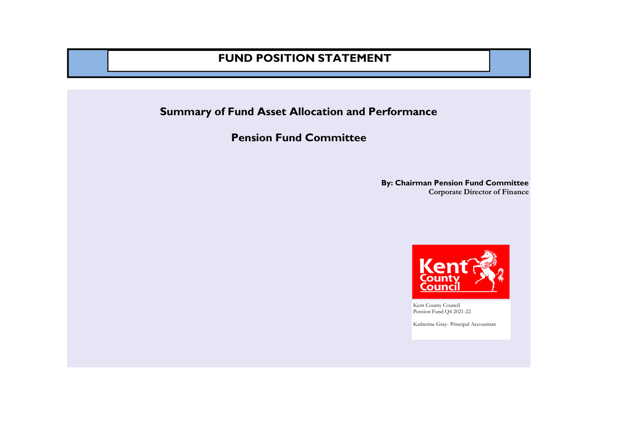#### **FUND POSITION STATEMENT**

**Summary of Fund Asset Allocation and Performance**

**Pension Fund Committee**

**By: Chairman Pension Fund Committee Corporate Director of Finance** 



Kent County Council Pension Fund Q4 2021-22

Katherine Gray- Principal Accountant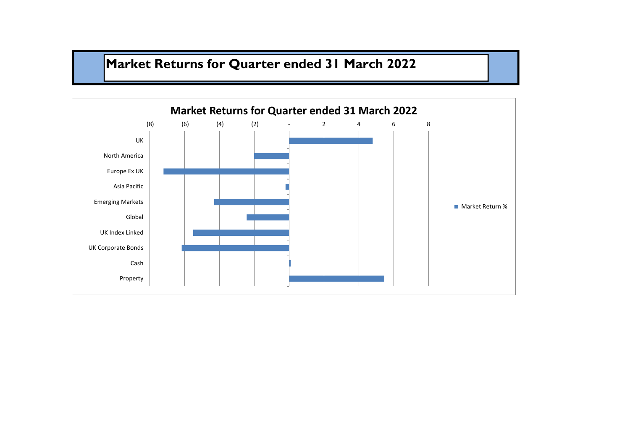# **Market Returns for Quarter ended 31 March 2022**

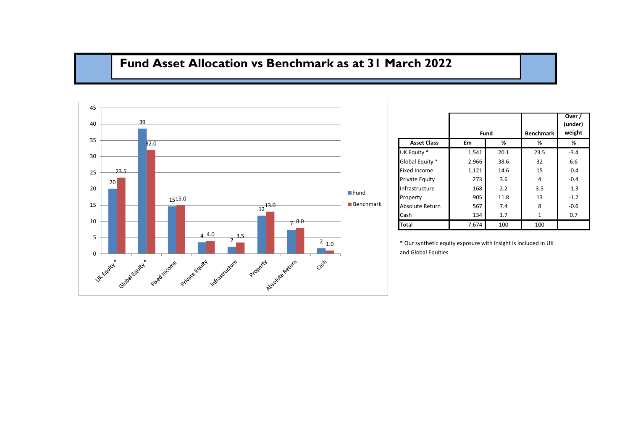#### **Fund Asset Allocation vs Benchmark as at 31 March 2022**



|                     |       |      |                  | Over /<br>(under) |
|---------------------|-------|------|------------------|-------------------|
|                     |       | Fund | <b>Benchmark</b> | weight            |
| <b>Asset Class</b>  | £m    | %    | %                | %                 |
| UK Equity *         | 1,541 | 20.1 | 23.5             | $-3.4$            |
| Global Equity *     | 2,966 | 38.6 | 32               | 6.6               |
| <b>Fixed Income</b> | 1,121 | 14.6 | 15               | $-0.4$            |
| Private Equity      | 273   | 3.6  | 4                | $-0.4$            |
| Infrastructure      | 168   | 2.2  | 3.5              | $-1.3$            |
| Property            | 905   | 11.8 | 13               | $-1.2$            |
| Absolute Return     | 567   | 7.4  | 8                | $-0.6$            |
| Cash                | 134   | 1.7  | 1                | 0.7               |
| Total               | 7,674 | 100  | 100              |                   |

\* Our synthetic equity exposure with Insight is included in UK and Global Equities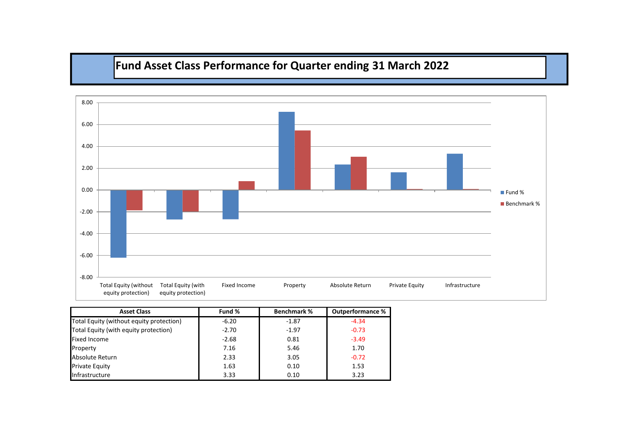## **Fund Asset Class Performance for Quarter ending 31 March 2022**



| <b>Asset Class</b>                       | Fund %  | <b>Benchmark %</b> | <b>Outperformance %</b> |
|------------------------------------------|---------|--------------------|-------------------------|
| Total Equity (without equity protection) | $-6.20$ | $-1.87$            | $-4.34$                 |
| Total Equity (with equity protection)    | $-2.70$ | $-1.97$            | $-0.73$                 |
| <b>Fixed Income</b>                      | $-2.68$ | 0.81               | $-3.49$                 |
| Property                                 | 7.16    | 5.46               | 1.70                    |
| Absolute Return                          | 2.33    | 3.05               | $-0.72$                 |
| Private Equity                           | 1.63    | 0.10               | 1.53                    |
| Infrastructure                           | 3.33    | 0.10               | 3.23                    |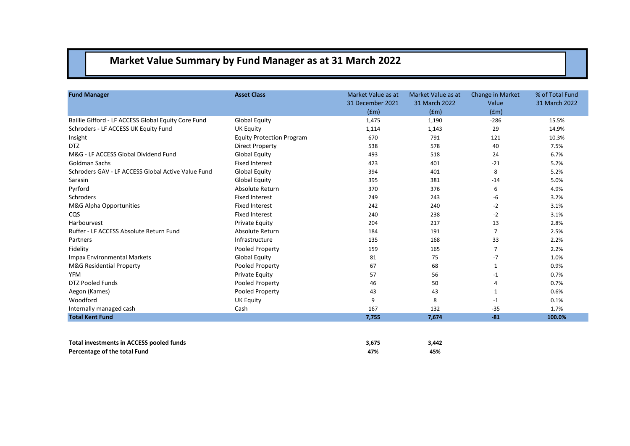## **Market Value Summary by Fund Manager as at 31 March 2022**

| <b>Fund Manager</b>                                 | <b>Asset Class</b>               | Market Value as at<br>31 December 2021 | Market Value as at<br>31 March 2022 | <b>Change in Market</b><br>Value | % of Total Fund<br>31 March 2022 |
|-----------------------------------------------------|----------------------------------|----------------------------------------|-------------------------------------|----------------------------------|----------------------------------|
|                                                     |                                  | (fm)                                   | (fm)                                | (fm)                             |                                  |
| Baillie Gifford - LF ACCESS Global Equity Core Fund | <b>Global Equity</b>             | 1,475                                  | 1,190                               | $-286$                           | 15.5%                            |
| Schroders - LF ACCESS UK Equity Fund                | <b>UK Equity</b>                 | 1,114                                  | 1,143                               | 29                               | 14.9%                            |
| Insight                                             | <b>Equity Protection Program</b> | 670                                    | 791                                 | 121                              | 10.3%                            |
| <b>DTZ</b>                                          | <b>Direct Property</b>           | 538                                    | 578                                 | 40                               | 7.5%                             |
| M&G - LF ACCESS Global Dividend Fund                | <b>Global Equity</b>             | 493                                    | 518                                 | 24                               | 6.7%                             |
| Goldman Sachs                                       | <b>Fixed Interest</b>            | 423                                    | 401                                 | $-21$                            | 5.2%                             |
| Schroders GAV - LF ACCESS Global Active Value Fund  | <b>Global Equity</b>             | 394                                    | 401                                 | 8                                | 5.2%                             |
| Sarasin                                             | <b>Global Equity</b>             | 395                                    | 381                                 | $-14$                            | 5.0%                             |
| Pyrford                                             | Absolute Return                  | 370                                    | 376                                 | 6                                | 4.9%                             |
| Schroders                                           | <b>Fixed Interest</b>            | 249                                    | 243                                 | $-6$                             | 3.2%                             |
| M&G Alpha Opportunities                             | <b>Fixed Interest</b>            | 242                                    | 240                                 | $-2$                             | 3.1%                             |
| CQS                                                 | <b>Fixed Interest</b>            | 240                                    | 238                                 | $-2$                             | 3.1%                             |
| Harbourvest                                         | <b>Private Equity</b>            | 204                                    | 217                                 | 13                               | 2.8%                             |
| Ruffer - LF ACCESS Absolute Return Fund             | Absolute Return                  | 184                                    | 191                                 | $\overline{7}$                   | 2.5%                             |
| Partners                                            | Infrastructure                   | 135                                    | 168                                 | 33                               | 2.2%                             |
| Fidelity                                            | Pooled Property                  | 159                                    | 165                                 | 7                                | 2.2%                             |
| <b>Impax Environmental Markets</b>                  | <b>Global Equity</b>             | 81                                     | 75                                  | $-7$                             | 1.0%                             |
| <b>M&amp;G Residential Property</b>                 | Pooled Property                  | 67                                     | 68                                  | 1                                | 0.9%                             |
| <b>YFM</b>                                          | <b>Private Equity</b>            | 57                                     | 56                                  | $-1$                             | 0.7%                             |
| <b>DTZ Pooled Funds</b>                             | Pooled Property                  | 46                                     | 50                                  | 4                                | 0.7%                             |
| Aegon (Kames)                                       | Pooled Property                  | 43                                     | 43                                  | 1                                | 0.6%                             |
| Woodford                                            | <b>UK Equity</b>                 | 9                                      | 8                                   | $-1$                             | 0.1%                             |
| Internally managed cash                             | Cash                             | 167                                    | 132                                 | $-35$                            | 1.7%                             |
| <b>Total Kent Fund</b>                              |                                  | 7,755                                  | 7,674                               | $-81$                            | 100.0%                           |
|                                                     |                                  |                                        |                                     |                                  |                                  |

| Total investments in ACCESS pooled funds | 3.675 | 3,442 |
|------------------------------------------|-------|-------|
| Percentage of the total Fund             | 47%   | 45%   |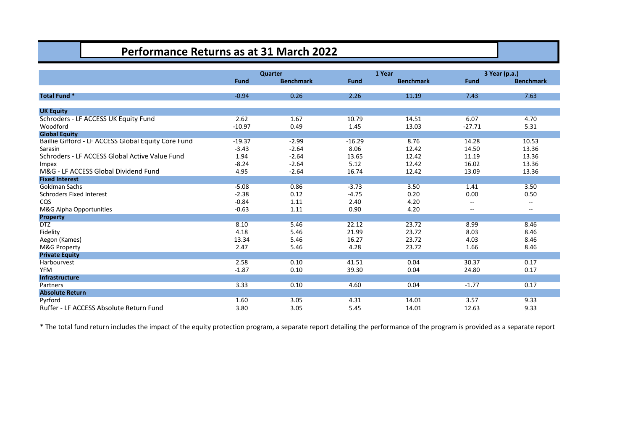#### **Performance Returns as at 31 March 2022**

|                                                     |             | Quarter          |             | 1 Year           |                          | 3 Year (p.a.)            |
|-----------------------------------------------------|-------------|------------------|-------------|------------------|--------------------------|--------------------------|
|                                                     | <b>Fund</b> | <b>Benchmark</b> | <b>Fund</b> | <b>Benchmark</b> | Fund                     | <b>Benchmark</b>         |
|                                                     |             |                  |             |                  |                          |                          |
| <b>Total Fund *</b>                                 | $-0.94$     | 0.26             | 2.26        | 11.19            | 7.43                     | 7.63                     |
| <b>UK Equity</b>                                    |             |                  |             |                  |                          |                          |
| Schroders - LF ACCESS UK Equity Fund                | 2.62        | 1.67             | 10.79       | 14.51            | 6.07                     | 4.70                     |
| Woodford                                            | $-10.97$    | 0.49             | 1.45        | 13.03            | $-27.71$                 | 5.31                     |
| <b>Global Equity</b>                                |             |                  |             |                  |                          |                          |
| Baillie Gifford - LF ACCESS Global Equity Core Fund | $-19.37$    | $-2.99$          | $-16.29$    | 8.76             | 14.28                    | 10.53                    |
| Sarasin                                             | $-3.43$     | $-2.64$          | 8.06        | 12.42            | 14.50                    | 13.36                    |
| Schroders - LF ACCESS Global Active Value Fund      | 1.94        | $-2.64$          | 13.65       | 12.42            | 11.19                    | 13.36                    |
| Impax                                               | $-8.24$     | $-2.64$          | 5.12        | 12.42            | 16.02                    | 13.36                    |
| M&G - LF ACCESS Global Dividend Fund                | 4.95        | $-2.64$          | 16.74       | 12.42            | 13.09                    | 13.36                    |
| <b>Fixed Interest</b>                               |             |                  |             |                  |                          |                          |
| Goldman Sachs                                       | $-5.08$     | 0.86             | $-3.73$     | 3.50             | 1.41                     | 3.50                     |
| <b>Schroders Fixed Interest</b>                     | $-2.38$     | 0.12             | $-4.75$     | 0.20             | 0.00                     | 0.50                     |
| CQS                                                 | $-0.84$     | 1.11             | 2.40        | 4.20             | $- -$                    | $\sim$                   |
| M&G Alpha Opportunities                             | $-0.63$     | 1.11             | 0.90        | 4.20             | $\overline{\phantom{m}}$ | $\overline{\phantom{m}}$ |
| <b>Property</b>                                     |             |                  |             |                  |                          |                          |
| <b>DTZ</b>                                          | 8.10        | 5.46             | 22.12       | 23.72            | 8.99                     | 8.46                     |
| Fidelity                                            | 4.18        | 5.46             | 21.99       | 23.72            | 8.03                     | 8.46                     |
| Aegon (Kames)                                       | 13.34       | 5.46             | 16.27       | 23.72            | 4.03                     | 8.46                     |
| M&G Property                                        | 2.47        | 5.46             | 4.28        | 23.72            | 1.66                     | 8.46                     |
| <b>Private Equity</b>                               |             |                  |             |                  |                          |                          |
| Harbourvest                                         | 2.58        | 0.10             | 41.51       | 0.04             | 30.37                    | 0.17                     |
| <b>YFM</b>                                          | $-1.87$     | 0.10             | 39.30       | 0.04             | 24.80                    | 0.17                     |
| Infrastructure                                      |             |                  |             |                  |                          |                          |
| Partners                                            | 3.33        | 0.10             | 4.60        | 0.04             | $-1.77$                  | 0.17                     |
| <b>Absolute Return</b>                              |             |                  |             |                  |                          |                          |
| Pyrford                                             | 1.60        | 3.05             | 4.31        | 14.01            | 3.57                     | 9.33                     |
| Ruffer - LF ACCESS Absolute Return Fund             | 3.80        | 3.05             | 5.45        | 14.01            | 12.63                    | 9.33                     |

\* The total fund return includes the impact of the equity protection program, a separate report detailing the performance of the program is provided as a separate report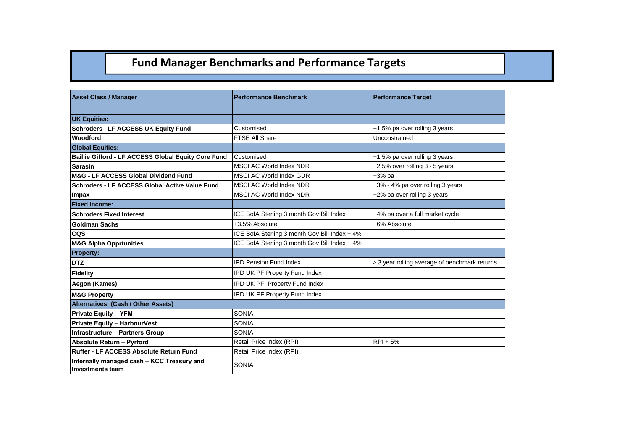### **Fund Manager Benchmarks and Performance Targets**

| <b>Asset Class / Manager</b>                                          | <b>Performance Benchmark</b>                  | <b>Performance Target</b>                          |  |  |
|-----------------------------------------------------------------------|-----------------------------------------------|----------------------------------------------------|--|--|
|                                                                       |                                               |                                                    |  |  |
| <b>UK Equities:</b>                                                   |                                               |                                                    |  |  |
| <b>Schroders - LF ACCESS UK Equity Fund</b>                           | Customised                                    | +1.5% pa over rolling 3 years                      |  |  |
| <b>Woodford</b>                                                       | <b>FTSE All Share</b>                         | Unconstrained                                      |  |  |
| <b>Global Equities:</b>                                               |                                               |                                                    |  |  |
| Baillie Gifford - LF ACCESS Global Equity Core Fund                   | Customised                                    | +1.5% pa over rolling 3 years                      |  |  |
| <b>Sarasin</b>                                                        | <b>MSCI AC World Index NDR</b>                | +2.5% over rolling 3 - 5 years                     |  |  |
| M&G - LF ACCESS Global Dividend Fund                                  | MSCI AC World Index GDR                       | +3% pa                                             |  |  |
| Schroders - LF ACCESS Global Active Value Fund                        | <b>MSCI AC World Index NDR</b>                | +3% - 4% pa over rolling 3 years                   |  |  |
| Impax                                                                 | <b>MSCI AC World Index NDR</b>                | +2% pa over rolling 3 years                        |  |  |
| <b>Fixed Income:</b>                                                  |                                               |                                                    |  |  |
| <b>Schroders Fixed Interest</b>                                       | ICE BofA Sterling 3 month Gov Bill Index      | +4% pa over a full market cycle                    |  |  |
| <b>Goldman Sachs</b>                                                  | +3.5% Absolute                                | +6% Absolute                                       |  |  |
| <b>CQS</b>                                                            | ICE BofA Sterling 3 month Gov Bill Index + 4% |                                                    |  |  |
| <b>M&amp;G Alpha Opprtunities</b>                                     | ICE BofA Sterling 3 month Gov Bill Index + 4% |                                                    |  |  |
| <b>Property:</b>                                                      |                                               |                                                    |  |  |
| <b>DTZ</b>                                                            | <b>IPD Pension Fund Index</b>                 | $\geq$ 3 year rolling average of benchmark returns |  |  |
| <b>Fidelity</b>                                                       | IPD UK PF Property Fund Index                 |                                                    |  |  |
| Aegon (Kames)                                                         | IPD UK PF Property Fund Index                 |                                                    |  |  |
| <b>M&amp;G Property</b>                                               | IPD UK PF Property Fund Index                 |                                                    |  |  |
| Alternatives: (Cash / Other Assets)                                   |                                               |                                                    |  |  |
| <b>Private Equity - YFM</b>                                           | <b>SONIA</b>                                  |                                                    |  |  |
| <b>Private Equity - HarbourVest</b>                                   | <b>SONIA</b>                                  |                                                    |  |  |
| <b>Infrastructure - Partners Group</b>                                | <b>SONIA</b>                                  |                                                    |  |  |
| <b>Absolute Return - Pyrford</b>                                      | Retail Price Index (RPI)                      | $RPI + 5%$                                         |  |  |
| <b>Ruffer - LF ACCESS Absolute Return Fund</b>                        | Retail Price Index (RPI)                      |                                                    |  |  |
| Internally managed cash - KCC Treasury and<br><b>Investments team</b> | <b>SONIA</b>                                  |                                                    |  |  |